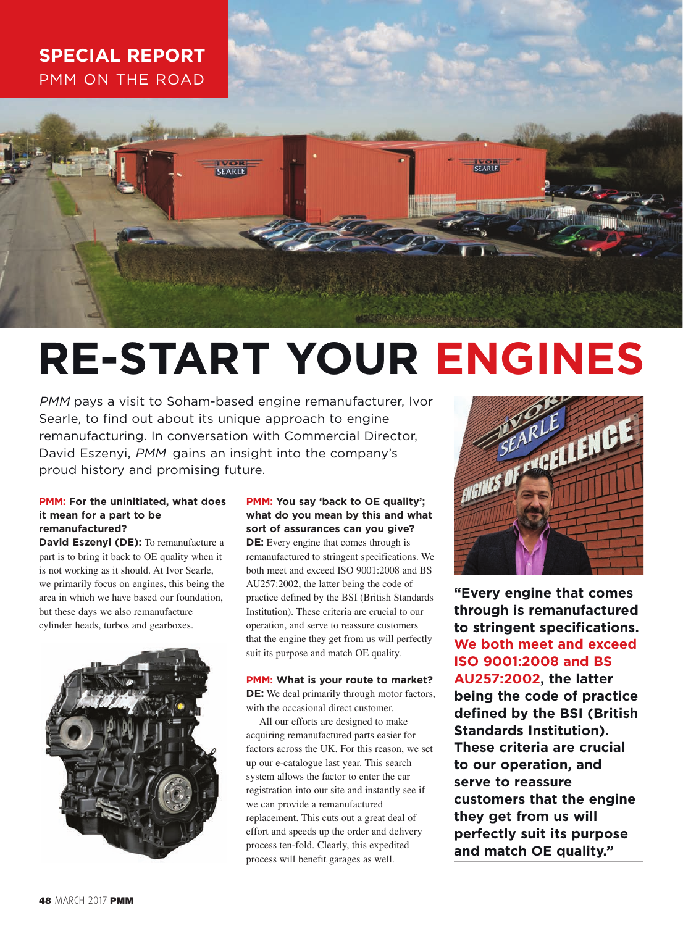## **SPECIAL REPORT** PMM ON THE ROAD

# **RE-START YOUR ENGINES**

PMM pays a visit to Soham-based engine remanufacturer, Ivor Searle, to find out about its unique approach to engine remanufacturing. In conversation with Commercial Director, David Eszenyi, PMM gains an insight into the company's proud history and promising future.

#### **PMM: For the uninitiated, what does it mean for a part to be remanufactured?**

**David Eszenyi (DE):** To remanufacture a part is to bring it back to OE quality when it is not working as it should. At Ivor Searle, we primarily focus on engines, this being the area in which we have based our foundation, but these days we also remanufacture cylinder heads, turbos and gearboxes.



### **PMM: You say 'back to OE quality'; what do you mean by this and what sort of assurances can you give?**

**DE:** Every engine that comes through is remanufactured to stringent specifications. We both meet and exceed ISO 9001:2008 and BS AU257:2002, the latter being the code of practice defined by the BSI (British Standards Institution). These criteria are crucial to our operation, and serve to reassure customers that the engine they get from us will perfectly suit its purpose and match OE quality.

**PMM: What is your route to market? DE:** We deal primarily through motor factors, with the occasional direct customer.

All our efforts are designed to make acquiring remanufactured parts easier for factors across the UK. For this reason, we set up our e-catalogue last year. This search system allows the factor to enter the car registration into our site and instantly see if we can provide a remanufactured replacement. This cuts out a great deal of effort and speeds up the order and delivery process ten-fold. Clearly, this expedited process will benefit garages as well.



**"Every engine that comes through is remanufactured to stringent specifications. We both meet and exceed ISO 9001:2008 and BS AU257:2002, the latter being the code of practice defined by the BSI (British Standards Institution). These criteria are crucial to our operation, and serve to reassure customers that the engine they get from us will perfectly suit its purpose and match OE quality."**